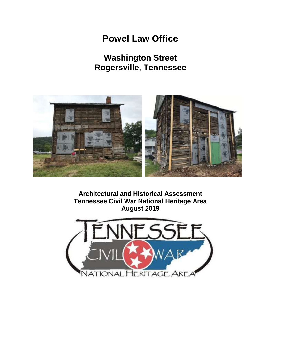# **Powel Law Office**

## **Washington Street Rogersville, Tennessee**



**Architectural and Historical Assessment Tennessee Civil War National Heritage Area August 2019**

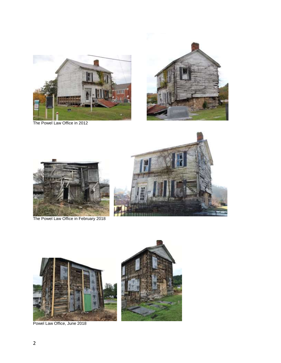

The Powel Law Office in 2012









Powel Law Office, June 2018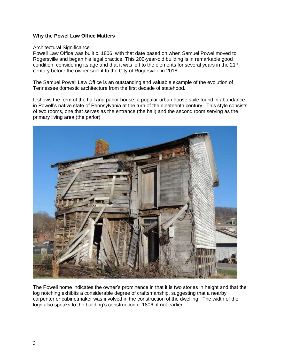## **Why the Powel Law Office Matters**

#### Architectural Significance

Powell Law Office was built c. 1806, with that date based on when Samuel Powel moved to Rogersville and began his legal practice. This 200-year-old building is in remarkable good condition, considering its age and that it was left to the elements for several years in the  $21^{st}$ century before the owner sold it to the City of Rogersville in 2018.

The Samuel Powell Law Office is an outstanding and valuable example of the evolution of Tennessee domestic architecture from the first decade of statehood.

It shows the form of the hall and parlor house, a popular urban house style found in abundance in Powell's native state of Pennsylvania at the turn of the nineteenth century. This style consists of two rooms, one that serves as the entrance (the hall) and the second room serving as the primary living area (the parlor).



The Powell home indicates the owner's prominence in that it is two stories in height and that the log notching exhibits a considerable degree of craftsmanship, suggesting that a nearby carpenter or cabinetmaker was involved in the construction of the dwelling. The width of the logs also speaks to the building's construction c. 1806, if not earlier.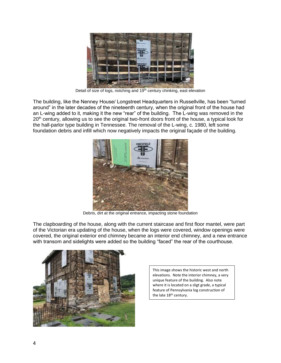

Detail of size of logs, notching and 19<sup>th</sup> century chinking, east elevation

The building, like the Nenney House/ Longstreet Headquarters in Russellville, has been "turned around" in the later decades of the nineteenth century, when the original front of the house had an L-wing added to it, making it the new "rear" of the building. The L-wing was removed in the 20<sup>th</sup> century, allowing us to see the original two-front doors front of the house, a typical look for the hall-parlor type building in Tennessee. The removal of the L-wing, c. 1980, left some foundation debris and infill which now negatively impacts the original façade of the building.



Debris, dirt at the original entrance, impacting stone foundation

The clapboarding of the house, along with the current staircase and first floor mantel, were part of the Victorian era updating of the house, when the logs were covered, window openings were covered, the original exterior end chimney became an interior end chimney, and a new entrance with transom and sidelights were added so the building "faced" the rear of the courthouse.



This image shows the historic west and north elevations. Note the interior chimney, a very unique feature of the building. Also note where it is located on a sligt grade, a typical feature of Pennsylvania log construction of the late 18th century.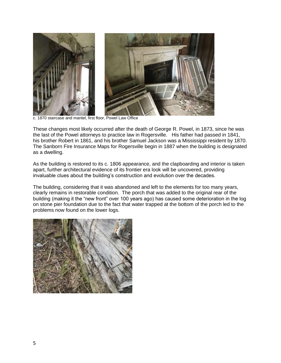

c. 1870 staircase and mantel, first floor, Powel Law Office

These changes most likely occurred after the death of George R. Powel, in 1873, since he was the last of the Powel attorneys to practice law in Rogersville. His father had passed in 1841, his brother Robert in 1861, and his brother Samuel Jackson was a Mississippi resident by 1870. The Sanborn Fire Insurance Maps for Rogersville begin in 1887 when the building is designated as a dwelling.

As the building is restored to its c. 1806 appearance, and the clapboarding and interior is taken apart, further architectural evidence of its frontier era look will be uncovered, providing invaluable clues about the building's construction and evolution over the decades.

The building, considering that it was abandoned and left to the elements for too many years, clearly remains in restorable condition. The porch that was added to the original rear of the building (making it the "new front" over 100 years ago) has caused some deterioration in the log on stone pier foundation due to the fact that water trapped at the bottom of the porch led to the problems now found on the lower logs.

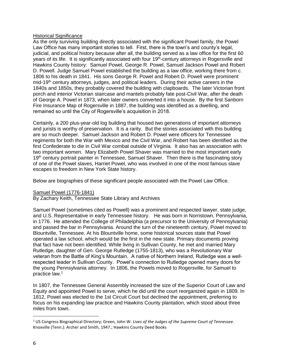## **Historical Significance**

As the only surviving building directly associated with the significant Powel family, the Powel Law Office has many important stories to tell. First, there is the town's and county's legal, judicial, and political history because after all, the building served as a law office for the first 60 years of its life. It is significantly associated with four 19<sup>th</sup>-century attorneys in Rogersville and Hawkins County history: Samuel Powel, George R. Powel, Samuel Jackson Powel and Robert D. Powell. Judge Samuel Powel established the building as a law office, working there from c. 1806 to his death in 1841. His sons George R. Powel and Robert D. Powell were prominent mid-19<sup>th</sup> century attorneys, judges, and political leaders. During their active careers in the 1840s and 1850s, they probably covered the building with clapboards. The later Victorian front porch and interior Victorian staircase and mantels probably fate post-Civil War, after the death of George A. Powel in 1873, when later owners converted it into a house. By the first Sanborn Fire Insurance Map of Rogersville in 1887, the building was identified as a dwelling, and remained so until the City of Rogersville's acquisition in 2018.

Certainly, a 200 plus-year-old log building that housed two generations of important attorneys and jurists is worthy of preservation. It is a rarity. But the stories associated with this building are so much deeper. Samuel Jackson and Robert D. Powel were officers for Tennessee regiments for both the War with Mexico and the Civil War, and Robert has been identified as the first Confederate to die in Civil War combat outside of Virginia. It also has an association with two important women. Mary Elizabeth Powel Shaver was married to the most important early 19<sup>th</sup> century portrait painter in Tennessee, Samuel Shaver. Then there is the fascinating story of one of the Powel slaves, Harriet Powel, who was involved in one of the most famous slave escapes to freedom in New York State history.

Below are biographies of these significant people associated with the Powel Law Office.

## Samuel Powel (1776-1841)

By Zachary Keith, Tennessee State Library and Archives

Samuel Powel (sometimes cited as Powell) was a prominent and respected lawyer, state judge, and U.S. Representative in early Tennessee history. He was born in Norristown, Pennsylvania, in 1776. He attended the College of Philadelphia (a precursor to the University of Pennsylvania) and passed the bar in Pennsylvania. Around the turn of the nineteenth century, Powel moved to Blountville, Tennessee. At his Blountville home, some historical sources state that Powel operated a law school, which would be the first in the new state. Primary documents proving that fact have not been identified. While living in Sullivan County, he met and married Mary Rutledge, daughter of Gen. George Rutledge (1755-1813), who was a Revolutionary War veteran from the Battle of King's Mountain. A native of Northern Ireland, Rutledge was a wellrespected leader in Sullivan County. Powel's connection to Rutledge opened many doors for the young Pennsylvania attorney. In 1806, the Powels moved to Rogersville, for Samuel to practice law.<sup>1</sup>

In 1807, the Tennessee General Assembly increased the size of the Superior Court of Law and Equity and appointed Powel to serve, which he did until the court reorganized again in 1809. In 1812, Powel was elected to the 1st Circuit Court but declined the appointment, preferring to focus on his expanding law practice and Hawkins County plantation, which stood about three miles from town.

 $\overline{a}$ 

<sup>1</sup> US Congress Biographical Directory; Green, John W. *Lives of the Judges of the Supreme Court of Tennessee.* Knoxville (Tenn.): Archer and Smith, 1947.; Hawkins County Deed Books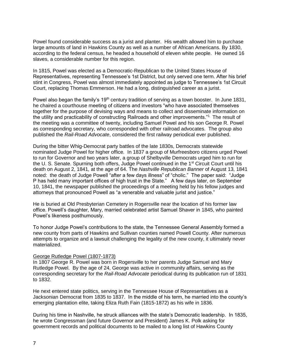Powel found considerable success as a jurist and planter. His wealth allowed him to purchase large amounts of land in Hawkins County as well as a number of African Americans. By 1830, according to the federal census, he headed a household of eleven white people. He owned 16 slaves, a considerable number for this region.

In 1815, Powel was elected as a Democratic-Republican to the United States House of Representatives, representing Tennessee's 1st District, but only served one term. After his brief stint in Congress, Powel was almost immediately appointed as judge to Tennessee's 1st Circuit Court, replacing Thomas Emmerson. He had a long, distinguished career as a jurist.

Powel also began the family's 19<sup>th</sup> century tradition of serving as a town booster. In June 1831, he chaired a courthouse meeting of citizens and investors "who have associated themselves together for the purpose of devising ways and means to collect and disseminate information on the utility and practicability of constructing Railroads and other improvements."<sup>1</sup> The result of the meeting was a committee of twenty, including Samuel Powel and his son George R. Powel as corresponding secretary, who corresponded with other railroad advocates. The group also published the *Rail-Road Advocate*, considered the first railway periodical ever published.

During the bitter Whig-Democrat party battles of the late 1830s, Democrats statewide nominated Judge Powel for higher office. In 1837 a group of Murfreesboro citizens urged Powel to run for Governor and two years later, a group of Shelbyville Democrats urged him to run for the U. S. Senate. Spurning both offers, Judge Powel continued in the 1<sup>st</sup> Circuit Court until his death on August 2, 1841, at the age of 64. The *Nashville Republican Banner* of August 13, 1841 noted: the death of Judge Powell "after a few days illness" of "cholic." The paper said: "Judge P has held many important offices of high trust in the State." A few days later, on September 10, 1841, the newspaper published the proceedings of a meeting held by his fellow judges and attorneys that pronounced Powell as "a venerable and valuable jurist and justice."

He is buried at Old Presbyterian Cemetery in Rogersville near the location of his former law office. Powell's daughter, Mary, married celebrated artist Samuel Shaver in 1845, who painted Powel's likeness posthumously.

To honor Judge Powel's contributions to the state, the Tennessee General Assembly formed a new county from parts of Hawkins and Sullivan counties named Powell County. After numerous attempts to organize and a lawsuit challenging the legality of the new county, it ultimately never materialized.

#### George Rutledge Powel (1807-1873)

In 1807 George R. Powel was born in Rogersville to her parents Judge Samuel and Mary Rutledge Powel. By the age of 24, George was active in community affairs, serving as the corresponding secretary for the *Rail-Road Advocate* periodical during its publication run of 1831 to 1832.

He next entered state politics, serving in the Tennessee House of Representatives as a Jacksonian Democrat from 1835 to 1837. In the middle of his term, he married into the county's emerging plantation elite, taking Eliza Ruth Fain (1815-1872) as his wife in 1836.

During his time in Nashville, he struck alliances with the state's Democratic leadership. In 1835, he wrote Congressman (and future Governor and President) James K. Polk asking for government records and political documents to be mailed to a long list of Hawkins County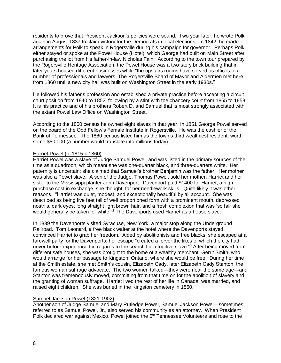residents to prove that President Jackson's policies were sound. Two year later, he wrote Polk again in August 1837 to claim victory for the Democrats in local elections. In 1842, he made arrangements for Polk to speak in Rogersville during his campaign for governor. Perhaps Polk either stayed or spoke at the Powel House (Hotel), which George had built on Main Street after purchasing the lot from his father-in-law Nicholas Fain. According to the town tour prepared by the Rogersville Heritage Association, the Powel House was a two-story brick building that in later years housed different businesses while "the upstairs rooms have served as offices to a number of professionals and lawyers. The Rogersville Board of Mayor and Aldermen met here from 1860 until a new city hall was built on Washington Street in the early 1930s."

He followed his father's profession and established a private practice before accepting a circuit court position from 1840 to 1852, following by a stint with the chancery court from 1855 to 1858. It is his practice and of his brothers Robert D. and Samuel that is most strongly associated with the extant Powel Law Office on Washington Street.

According to the 1850 census he owned eight slaves in that year. In 1851 George Powel served on the board of the Odd Fellow's Female Institute in Rogersville. He was the cashier of the Bank of Tennessee. The 1860 census listed him as the town's third wealthiest resident, worth some \$80,000 (a number would translate into millions today).

#### Harriet Powel (c. 1815-c.1860)

Harriet Powel was a slave of Judge Samuel Powel, and was listed in the primary sources of the time as a quadroon, which meant she was one-quarter black, and three-quarters white. Her paternity is uncertain; she claimed that Samuel's brother Benjamin was the father. Her mother was also a Powel slave. A son of the Judge, Thomas Powel, sold her mother, Harriet and her sister to the Mississippi planter John Davenport. Davenport paid \$1400 for Harriet, a high purchase cost in exchange, she thought, for her needlework skills. Quite likely it was other reasons. "Harriet was quiet, modest, and exceptionally beautiful by all account. She was described as being five feet tall of well proportioned form with a prominent mouth, depressed nostrils, dark eyes, long straight light brown hair, and a fresh complexion that was 'so fair she would generally be taken for white."<sup>2</sup> The Davenports used Harriet as a house slave.

In 1839 the Davenports visited Syracuse, New York, a major stop along the Underground Railroad. Tom Leonard, a free black waiter at the hotel where the Davenports stayed, convinced Harriet to grab her freedom. Aided by abolitionists and free blacks, she escaped at a farewell party for the Davenports: her escape "created a fervor the likes of which the city had never before experienced in regards to the search for a fugitive slave."<sup>3</sup> After being moved from different safe houses, she was brought to the home of a wealthy merchant, Gerrit Smith, who would arrange for her passage to Kingston, Ontario, where she would be free. During her time at the Smith estate, she met Smith's cousin, Elizabeth Cady, later Elizabeth Cady Stanton, the famous woman suffrage advocate. The two women talked—they were near the same age—and Stanton was tremendously moved, committing from that time on for the abolition of slavery and the granting of woman suffrage. Harriet lived the rest of her life in Canada, was married, and raised eight children. She was buried in the Kingston cemetery in 1860.

#### Samuel Jackson Powel (1821-1902)

Another son of Judge Samuel and Mary Rutledge Powel, Samuel Jackson Powel—sometimes referred to as Samuel Powel, Jr., also served his community as an attorney. When President Polk declared war against Mexico, Powel joined the 5<sup>th</sup> Tennessee Volunteers and rose to the